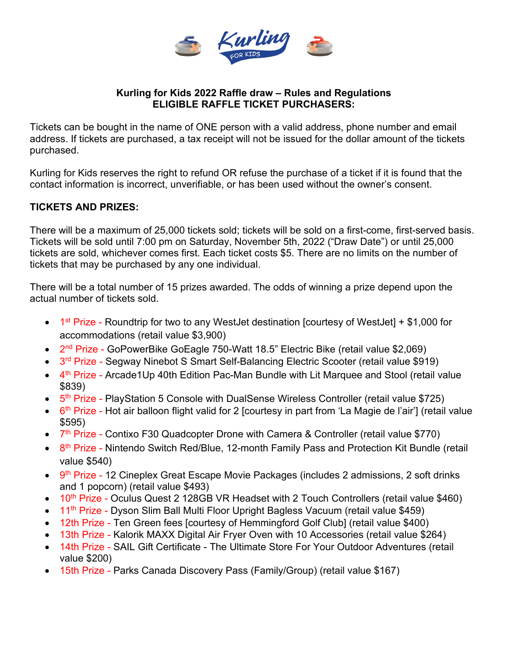

### **Kurling for Kids 2022 Raffle draw – Rules and Regulations ELIGIBLE RAFFLE TICKET PURCHASERS:**

Tickets can be bought in the name of ONE person with a valid address, phone number and email address. If tickets are purchased, a tax receipt will not be issued for the dollar amount of the tickets purchased.

Kurling for Kids reserves the right to refund OR refuse the purchase of a ticket if it is found that the contact information is incorrect, unverifiable, or has been used without the owner's consent.

# **TICKETS AND PRIZES:**

There will be a maximum of 25,000 tickets sold; tickets will be sold on a first-come, first-served basis. Tickets will be sold until 7:00 pm on Saturday, November 5th, 2022 ("Draw Date") or until 25,000 tickets are sold, whichever comes first. Each ticket costs \$5. There are no limits on the number of tickets that may be purchased by any one individual.

There will be a total number of 15 prizes awarded. The odds of winning a prize depend upon the actual number of tickets sold.

- $\bullet$  1<sup>st</sup> Prize Roundtrip for two to any WestJet destination [courtesy of WestJet] + \$1,000 for accommodations (retail value \$3,900)
- 2<sup>nd</sup> Prize GoPowerBike GoEagle 750-Watt 18.5" Electric Bike (retail value \$2,069)
- 3<sup>rd</sup> Prize Segway Ninebot S Smart Self-Balancing Electric Scooter (retail value \$919)
- 4<sup>th</sup> Prize Arcade1Up 40th Edition Pac-Man Bundle with Lit Marquee and Stool (retail value \$839)
- 5<sup>th</sup> Prize PlayStation 5 Console with DualSense Wireless Controller (retail value \$725)
- $\bullet$  6<sup>th</sup> Prize Hot air balloon flight valid for 2 [courtesy in part from 'La Magie de l'air'] (retail value \$595)
- 7<sup>th</sup> Prize Contixo F30 Quadcopter Drone with Camera & Controller (retail value \$770)
- 8<sup>th</sup> Prize Nintendo Switch Red/Blue, 12-month Family Pass and Protection Kit Bundle (retail value \$540)
- 9<sup>th</sup> Prize 12 Cineplex Great Escape Movie Packages (includes 2 admissions, 2 soft drinks and 1 popcorn) (retail value \$493)
- 10<sup>th</sup> Prize Oculus Quest 2 128GB VR Headset with 2 Touch Controllers (retail value \$460)
- 11<sup>th</sup> Prize Dyson Slim Ball Multi Floor Upright Bagless Vacuum (retail value \$459)
- 12th Prize Ten Green fees [courtesy of Hemmingford Golf Club] (retail value \$400)
- 13th Prize Kalorik MAXX Digital Air Fryer Oven with 10 Accessories (retail value \$264)
- 14th Prize SAIL Gift Certificate The Ultimate Store For Your Outdoor Adventures (retail value \$200)
- 15th Prize Parks Canada Discovery Pass (Family/Group) (retail value \$167)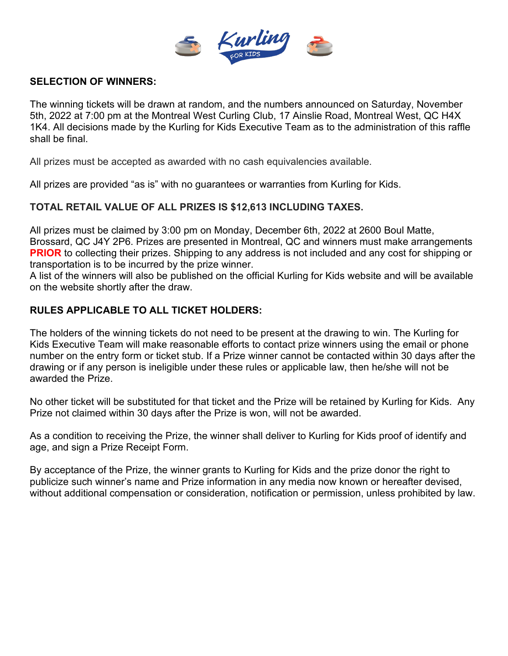

#### **SELECTION OF WINNERS:**

The winning tickets will be drawn at random, and the numbers announced on Saturday, November 5th, 2022 at 7:00 pm at the Montreal West Curling Club, 17 Ainslie Road, Montreal West, QC H4X 1K4. All decisions made by the Kurling for Kids Executive Team as to the administration of this raffle shall be final.

All prizes must be accepted as awarded with no cash equivalencies available.

All prizes are provided "as is" with no guarantees or warranties from Kurling for Kids.

### **TOTAL RETAIL VALUE OF ALL PRIZES IS \$12,613 INCLUDING TAXES.**

All prizes must be claimed by 3:00 pm on Monday, December 6th, 2022 at 2600 Boul Matte, Brossard, QC J4Y 2P6. Prizes are presented in Montreal, QC and winners must make arrangements **PRIOR** to collecting their prizes. Shipping to any address is not included and any cost for shipping or transportation is to be incurred by the prize winner.

A list of the winners will also be published on the official Kurling for Kids website and will be available on the website shortly after the draw.

# **RULES APPLICABLE TO ALL TICKET HOLDERS:**

The holders of the winning tickets do not need to be present at the drawing to win. The Kurling for Kids Executive Team will make reasonable efforts to contact prize winners using the email or phone number on the entry form or ticket stub. If a Prize winner cannot be contacted within 30 days after the drawing or if any person is ineligible under these rules or applicable law, then he/she will not be awarded the Prize.

No other ticket will be substituted for that ticket and the Prize will be retained by Kurling for Kids. Any Prize not claimed within 30 days after the Prize is won, will not be awarded.

As a condition to receiving the Prize, the winner shall deliver to Kurling for Kids proof of identify and age, and sign a Prize Receipt Form.

By acceptance of the Prize, the winner grants to Kurling for Kids and the prize donor the right to publicize such winner's name and Prize information in any media now known or hereafter devised, without additional compensation or consideration, notification or permission, unless prohibited by law.